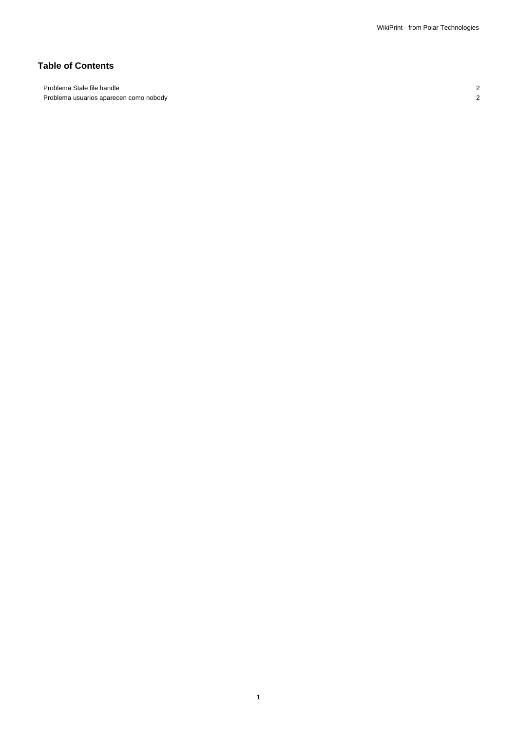# **Table of Contents**

Problema Stale file handle 2 Problema usuarios aparecen como nobody 2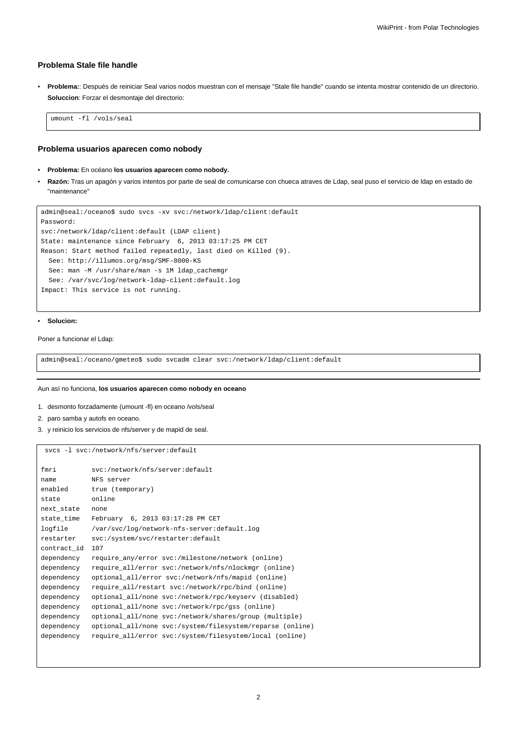## **Problema Stale file handle**

• **Problema:**: Después de reiniciar Seal varios nodos muestran con el mensaje "Stale file handle" cuando se intenta mostrar contenido de un directorio. **Soluccion**: Forzar el desmontaje del directorio:

umount -fl /vols/seal

## **Problema usuarios aparecen como nobody**

- **Problema:** En océano **los usuarios aparecen como nobody.**
- **Razón:** Tras un apagón y varios intentos por parte de seal de comunicarse con chueca atraves de Ldap, seal puso el servicio de ldap en estado de "maintenance"

```
admin@seal:/oceano$ sudo svcs -xv svc:/network/ldap/client:default
Password:
svc:/network/ldap/client:default (LDAP client)
State: maintenance since February 6, 2013 03:17:25 PM CET
Reason: Start method failed repeatedly, last died on Killed (9).
 See: http://illumos.org/msg/SMF-8000-KS
 See: man -M /usr/share/man -s 1M ldap_cachemgr
 See: /var/svc/log/network-ldap-client:default.log
Impact: This service is not running.
```
#### • **Solucion:**

Poner a funcionar el Ldap:

admin@seal:/oceano/gmeteo\$ sudo svcadm clear svc:/network/ldap/client:default

#### Aun así no funciona, **los usuarios aparecen como nobody en oceano**

- 1. desmonto forzadamente (umount -fl) en oceano /vols/seal
- 2. paro samba y autofs en oceano.
- 3. y reinicio los servicios de nfs/server y de mapid de seal.

svcs -l svc:/network/nfs/server:default

| fmri        | svc:/network/nfs/server:default                           |
|-------------|-----------------------------------------------------------|
| name        | NFS server                                                |
| enabled     | true (temporary)                                          |
| state       | online                                                    |
| next_state  | none                                                      |
| state_time  | February 6, 2013 03:17:28 PM CET                          |
| logfile     | /var/svc/log/network-nfs-server:default.log               |
| restarter   | svc:/system/svc/restarter:default                         |
| contract id | 107                                                       |
| dependency  | require any/error svc:/milestone/network (online)         |
| dependency  | require all/error svc:/network/nfs/nlockmqr (online)      |
| dependency  | optional_all/error svc:/network/nfs/mapid (online)        |
| dependency  | require_all/restart svc:/network/rpc/bind (online)        |
| dependency  | optional_all/none svc:/network/rpc/keyserv (disabled)     |
| dependency  | optional_all/none svc:/network/rpc/gss (online)           |
| dependency  | optional_all/none svc:/network/shares/group (multiple)    |
| dependency  | optional_all/none svc:/system/filesystem/reparse (online) |
| dependency  | require all/error svc:/system/filesystem/local (online)   |
|             |                                                           |